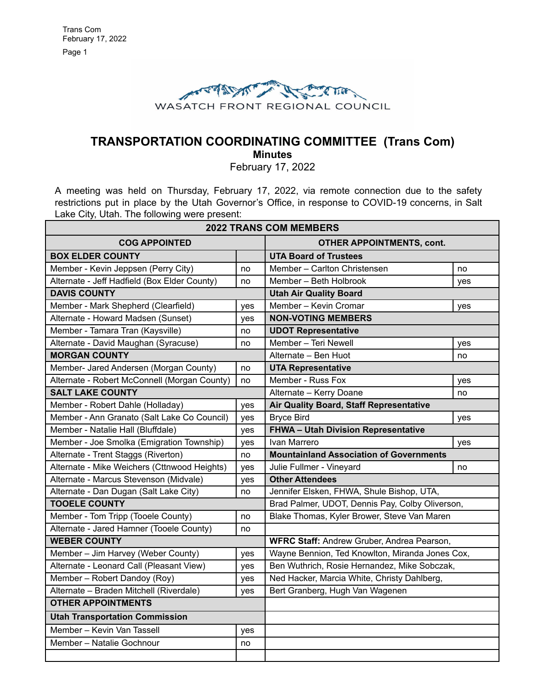

# **TRANSPORTATION COORDINATING COMMITTEE (Trans Com)**

**Minutes**

February 17, 2022

A meeting was held on Thursday, February 17, 2022, via remote connection due to the safety restrictions put in place by the Utah Governor's Office, in response to COVID-19 concerns, in Salt Lake City, Utah. The following were present:

| <b>2022 TRANS COM MEMBERS</b>                |     |                                                 |     |
|----------------------------------------------|-----|-------------------------------------------------|-----|
| <b>COG APPOINTED</b>                         |     | <b>OTHER APPOINTMENTS, cont.</b>                |     |
| <b>BOX ELDER COUNTY</b>                      |     | <b>UTA Board of Trustees</b>                    |     |
| Member - Kevin Jeppsen (Perry City)          | no  | Member - Carlton Christensen                    | no  |
| Alternate - Jeff Hadfield (Box Elder County) | no  | Member - Beth Holbrook                          | yes |
| <b>DAVIS COUNTY</b>                          |     | <b>Utah Air Quality Board</b>                   |     |
| Member - Mark Shepherd (Clearfield)          | yes | Member - Kevin Cromar                           | yes |
| Alternate - Howard Madsen (Sunset)           | yes | <b>NON-VOTING MEMBERS</b>                       |     |
| Member - Tamara Tran (Kaysville)             | no  | <b>UDOT Representative</b>                      |     |
| Alternate - David Maughan (Syracuse)         | no  | Member - Teri Newell                            | yes |
| <b>MORGAN COUNTY</b>                         |     | Alternate - Ben Huot                            | no  |
| Member- Jared Andersen (Morgan County)       | no  | <b>UTA Representative</b>                       |     |
| Alternate - Robert McConnell (Morgan County) | no  | Member - Russ Fox                               | yes |
| <b>SALT LAKE COUNTY</b>                      |     | Alternate - Kerry Doane                         | no  |
| Member - Robert Dahle (Holladay)             | yes | Air Quality Board, Staff Representative         |     |
| Member - Ann Granato (Salt Lake Co Council)  | yes | <b>Bryce Bird</b>                               | yes |
| Member - Natalie Hall (Bluffdale)            | yes | FHWA - Utah Division Representative             |     |
| Member - Joe Smolka (Emigration Township)    | yes | Ivan Marrero                                    | yes |
| Alternate - Trent Staggs (Riverton)          | no  | <b>Mountainland Association of Governments</b>  |     |
| Alternate - Mike Weichers (Cttnwood Heights) | yes | Julie Fullmer - Vineyard                        | no  |
| Alternate - Marcus Stevenson (Midvale)       | yes | <b>Other Attendees</b>                          |     |
| Alternate - Dan Dugan (Salt Lake City)       | no  | Jennifer Elsken, FHWA, Shule Bishop, UTA,       |     |
| <b>TOOELE COUNTY</b>                         |     | Brad Palmer, UDOT, Dennis Pay, Colby Oliverson, |     |
| Member - Tom Tripp (Tooele County)           | no  | Blake Thomas, Kyler Brower, Steve Van Maren     |     |
| Alternate - Jared Hamner (Tooele County)     | no  |                                                 |     |
| <b>WEBER COUNTY</b>                          |     | WFRC Staff: Andrew Gruber, Andrea Pearson,      |     |
| Member - Jim Harvey (Weber County)           | yes | Wayne Bennion, Ted Knowlton, Miranda Jones Cox, |     |
| Alternate - Leonard Call (Pleasant View)     | yes | Ben Wuthrich, Rosie Hernandez, Mike Sobczak,    |     |
| Member - Robert Dandoy (Roy)                 | yes | Ned Hacker, Marcia White, Christy Dahlberg,     |     |
| Alternate - Braden Mitchell (Riverdale)      | yes | Bert Granberg, Hugh Van Wagenen                 |     |
| <b>OTHER APPOINTMENTS</b>                    |     |                                                 |     |
| <b>Utah Transportation Commission</b>        |     |                                                 |     |
| Member - Kevin Van Tassell                   | yes |                                                 |     |
| Member - Natalie Gochnour                    | no  |                                                 |     |
|                                              |     |                                                 |     |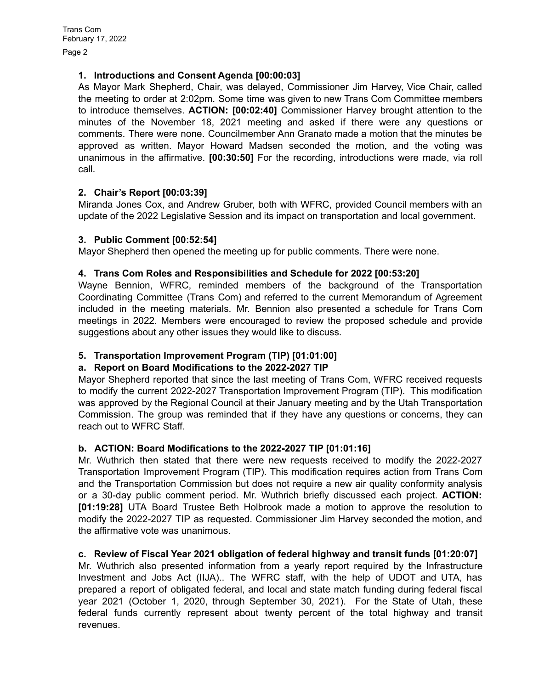#### **1. Introductions and Consent Agenda [00:00:03]**

As Mayor Mark Shepherd, Chair, was delayed, Commissioner Jim Harvey, Vice Chair, called the meeting to order at 2:02pm. Some time was given to new Trans Com Committee members to introduce themselves. **ACTION: [00:02:40]** Commissioner Harvey brought attention to the minutes of the November 18, 2021 meeting and asked if there were any questions or comments. There were none. Councilmember Ann Granato made a motion that the minutes be approved as written. Mayor Howard Madsen seconded the motion, and the voting was unanimous in the affirmative. **[00:30:50]** For the recording, introductions were made, via roll call.

# **2. Chair's Report [00:03:39]**

Miranda Jones Cox, and Andrew Gruber, both with WFRC, provided Council members with an update of the 2022 Legislative Session and its impact on transportation and local government.

#### **3. Public Comment [00:52:54]**

Mayor Shepherd then opened the meeting up for public comments. There were none.

#### **4. Trans Com Roles and Responsibilities and Schedule for 2022 [00:53:20]**

Wayne Bennion, WFRC, reminded members of the background of the Transportation Coordinating Committee (Trans Com) and referred to the current Memorandum of Agreement included in the meeting materials. Mr. Bennion also presented a schedule for Trans Com meetings in 2022. Members were encouraged to review the proposed schedule and provide suggestions about any other issues they would like to discuss.

# **5. Transportation Improvement Program (TIP) [01:01:00]**

# **a. Report on Board Modifications to the 2022-2027 TIP**

Mayor Shepherd reported that since the last meeting of Trans Com, WFRC received requests to modify the current 2022-2027 Transportation Improvement Program (TIP). This modification was approved by the Regional Council at their January meeting and by the Utah Transportation Commission. The group was reminded that if they have any questions or concerns, they can reach out to WFRC Staff.

# **b. ACTION: Board Modifications to the 2022-2027 TIP [01:01:16]**

Mr. Wuthrich then stated that there were new requests received to modify the 2022-2027 Transportation Improvement Program (TIP). This modification requires action from Trans Com and the Transportation Commission but does not require a new air quality conformity analysis or a 30-day public comment period. Mr. Wuthrich briefly discussed each project. **ACTION: [01:19:28]** UTA Board Trustee Beth Holbrook made a motion to approve the resolution to modify the 2022-2027 TIP as requested. Commissioner Jim Harvey seconded the motion, and the affirmative vote was unanimous.

#### **c. Review of Fiscal Year 2021 obligation of federal highway and transit funds [01:20:07]**

Mr. Wuthrich also presented information from a yearly report required by the Infrastructure Investment and Jobs Act (IIJA).. The WFRC staff, with the help of UDOT and UTA, has prepared a report of obligated federal, and local and state match funding during federal fiscal year 2021 (October 1, 2020, through September 30, 2021). For the State of Utah, these federal funds currently represent about twenty percent of the total highway and transit revenues.